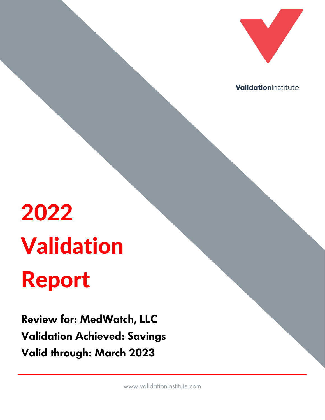

ValidationInstitute

# 2022 Validation Report

**Review for: MedWatch, LLC Validation Achieved: Savings Valid through: March 2023**

www.validationinstitute.com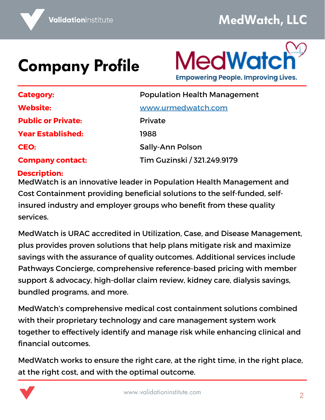# **Company Profile**



| <b>Category:</b>          | <b>Population Health Management</b> |  |
|---------------------------|-------------------------------------|--|
| <b>Website:</b>           | www.urmedwatch.com                  |  |
| <b>Public or Private:</b> | <b>Private</b>                      |  |
| <b>Year Established:</b>  | 1988                                |  |
| CEO:                      | <b>Sally-Ann Polson</b>             |  |
| <b>Company contact:</b>   | Tim Guzinski / 321.249.9179         |  |

#### **Description:**

MedWatch is an innovative leader in Population Health Management and Cost Containment providing beneficial solutions to the self-funded, selfinsured industry and employer groups who benefit from these quality services.

MedWatch is URAC accredited in Utilization, Case, and Disease Management, plus provides proven solutions that help plans mitigate risk and maximize savings with the assurance of quality outcomes. Additional services include Pathways Concierge, comprehensive reference-based pricing with member support & advocacy, high-dollar claim review, kidney care, dialysis savings, bundled programs, and more.

MedWatch's comprehensive medical cost containment solutions combined with their proprietary technology and care management system work together to effectively identify and manage risk while enhancing clinical and financial outcomes.

MedWatch works to ensure the right care, at the right time, in the right place, at the right cost, and with the optimal outcome.

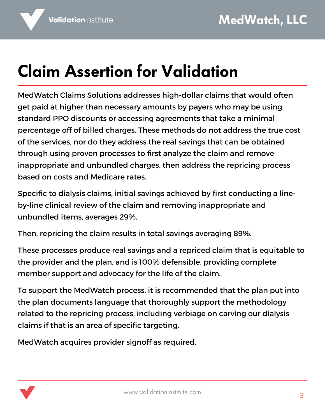## **Claim Assertion for Validation**

MedWatch Claims Solutions addresses high-dollar claims that would often get paid at higher than necessary amounts by payers who may be using standard PPO discounts or accessing agreements that take a minimal percentage off of billed charges. These methods do not address the true cost of the services, nor do they address the real savings that can be obtained through using proven processes to first analyze the claim and remove inappropriate and unbundled charges, then address the repricing process based on costs and Medicare rates.

Specific to dialysis claims, initial savings achieved by first conducting a lineby-line clinical review of the claim and removing inappropriate and unbundled items, averages 29%.

Then, repricing the claim results in total savings averaging 89%.

These processes produce real savings and a repriced claim that is equitable to the provider and the plan, and is 100% defensible, providing complete member support and advocacy for the life of the claim.

To support the MedWatch process, it is recommended that the plan put into the plan documents language that thoroughly support the methodology related to the repricing process, including verbiage on carving our dialysis claims if that is an area of specific targeting.

MedWatch acquires provider signoff as required.

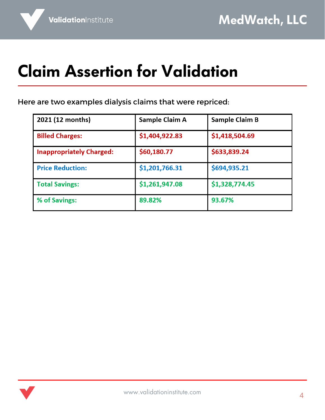## **Claim Assertion for Validation**

Here are two examples dialysis claims that were repriced:

| 2021 (12 months)                | Sample Claim A | <b>Sample Claim B</b> |
|---------------------------------|----------------|-----------------------|
| <b>Billed Charges:</b>          | \$1,404,922.83 | \$1,418,504.69        |
| <b>Inappropriately Charged:</b> | \$60,180.77    | \$633,839.24          |
| <b>Price Reduction:</b>         | \$1,201,766.31 | \$694,935.21          |
| <b>Total Savings:</b>           | \$1,261,947.08 | \$1,328,774.45        |
| % of Savings:                   | 89.82%         | 93.67%                |

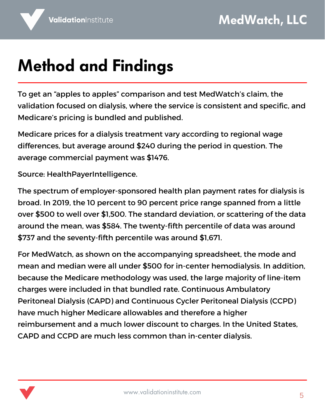#### **Method and Findings**

To get an "apples to apples" comparison and test MedWatch's claim, the validation focused on dialysis, where the service is consistent and specific, and Medicare's pricing is bundled and published.

Medicare prices for a dialysis treatment vary according to regional wage differences, but average around \$240 during the period in question. The average commercial payment was \$1476.

Source: [HealthPayerIntelligence.](https://healthpayerintelligence.com/news/employer-sponsored-health-plan-dialysis-costs-more-than-medicare#:~:text=The%20spectrum%20of%20employer%2Dsponsored,close%20to%20well%20over%20%241%2C500.)

The spectrum of employer-sponsored health plan payment rates for dialysis is broad. In 2019, the 10 percent to 90 percent price range spanned from a little over \$500 to well over \$1,500. The standard deviation, or scattering of the data around the mean, was \$584. The [twenty-fifth](https://www.nlm.nih.gov/nichsr/stats_tutorial/section2/mod8_sd.html) percentile of data was around \$737 and the seventy-fifth percentile was around \$1,671.

For MedWatch, as shown on the accompanying spreadsheet, the mode and mean and median were all under \$500 for in-center hemodialysis. In addition, because the Medicare methodology was used, the large majority of line-item charges were included in that bundled rate. Continuous Ambulatory Peritoneal Dialysis (CAPD) and Continuous Cycler Peritoneal Dialysis (CCPD) have much higher Medicare allowables and therefore a higher reimbursement and a much lower discount to charges. In the United States, CAPD and CCPD are much less common than in-center dialysis.

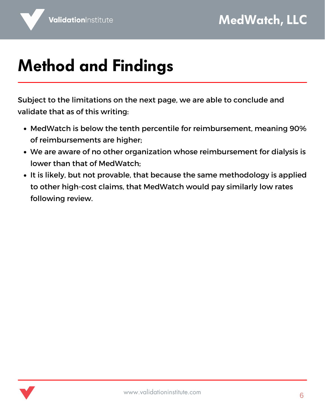## **Method and Findings**

Subject to the limitations on the next page, we are able to conclude and validate that as of this writing:

- MedWatch is below the tenth percentile for reimbursement, meaning 90% of reimbursements are higher;
- We are aware of no other organization whose reimbursement for dialysis is lower than that of MedWatch;
- It is likely, but not provable, that because the same methodology is applied to other high-cost claims, that MedWatch would pay similarly low rates following review.

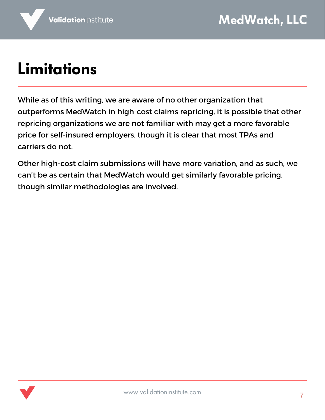## **Limitations**

While as of this writing, we are aware of no other organization that outperforms MedWatch in high-cost claims repricing, it is possible that other repricing organizations we are not familiar with may get a more favorable price for self-insured employers, though it is clear that most TPAs and carriers do not.

Other high-cost claim submissions will have more variation, and as such, we can't be as certain that MedWatch would get similarly favorable pricing, though similar methodologies are involved.

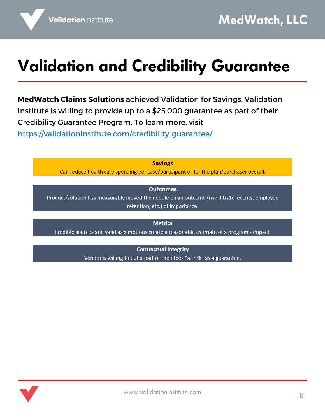#### **Validation and Credibility Guarantee**

**MedWatch Claims Solutions** achieved Validation for Savings. Validation Institute is willing to provide up to a \$25,000 guarantee as part of their Credibility Guarantee Program. To learn more, visit <https://validationinstitute.com/credibility-guarantee/>

**Savings** 

Can reduce health care spending per case/participant or for the plan/purchaser overall.

#### **Outcomes**

Product/solution has measurably moved the needle on an outcome (risk, hba1c, events, employee retention, etc.) of importance.

**Metrics** 

Credible sources and valid assumptions create a reasonable estimate of a program's impact.

**Contractual Integrity** 

Vendor is willing to put a part of their fees "at risk" as a guarantee.

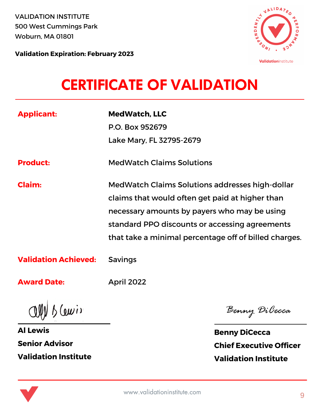VALIDATION INSTITUTE 500 West Cummings Park Woburn, MA 01801



**Validation Expiration: February 2023**

#### **CERTIFICATE OF VALIDATION**

| <b>Applicant:</b>           | <b>MedWatch, LLC</b><br>P.O. Box 952679<br>Lake Mary, FL 32795-2679                                                                                                                                                                                           |
|-----------------------------|---------------------------------------------------------------------------------------------------------------------------------------------------------------------------------------------------------------------------------------------------------------|
| <b>Product:</b>             | <b>MedWatch Claims Solutions</b>                                                                                                                                                                                                                              |
| Claim:                      | MedWatch Claims Solutions addresses high-dollar<br>claims that would often get paid at higher than<br>necessary amounts by payers who may be using<br>standard PPO discounts or accessing agreements<br>that take a minimal percentage off of billed charges. |
| <b>Validation Achieved:</b> | <b>Savings</b>                                                                                                                                                                                                                                                |

**Award Date:**

April 2022

 $Q(\psi)$   $\delta(\omega)$ 

**Al Lewis Senior Advisor Validation Institute**

Benny DiCecca

**Benny DiCecca Chief Executive Officer Validation Institute**